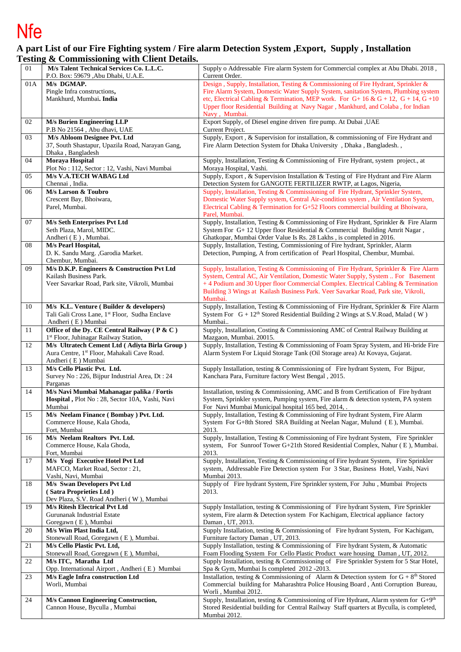## Nfe

## **A part List of our Fire Fighting system / Fire alarm Detection System ,Export, Supply , Installation Testing & Commissioning with Client Details.**

| 01  | M/s Talent Technical Services Co. L.L.C.                                                          | Supply o Addressable Fire alarm System for Commercial complex at Abu Dhabi. 2018,                                                                                                   |
|-----|---------------------------------------------------------------------------------------------------|-------------------------------------------------------------------------------------------------------------------------------------------------------------------------------------|
|     | P.O. Box: 59679 ,Abu Dhabi, U.A.E.<br>M/s DGMAP.                                                  | Current Order.                                                                                                                                                                      |
| 01A | Pingle Infra constructions,                                                                       | Design, Supply, Installation, Testing & Commissioning of Fire Hydrant, Sprinkler &<br>Fire Alarm System, Domestic Water Supply System, sanitation System, Plumbing system           |
|     | Mankhurd, Mumbai. India                                                                           | etc, Electrical Cabling & Termination, MEP work. For G+16 & G + 12, G + 14, G + 10                                                                                                  |
|     |                                                                                                   | Upper floor Residential Building at Navy Nagar, Mankhurd, and Colaba, for Indian                                                                                                    |
| 02  | <b>M/s Burien Engineering LLP</b>                                                                 | Navy, Mumbai.<br>Export Supply, of Diesel engine driven fire pump. At Dubai , UAE                                                                                                   |
|     | P.B No 21564, Abu dhavi, UAE                                                                      | Current Project.                                                                                                                                                                    |
| 03  | M/s Abloom Designee Pvt. Ltd                                                                      | Supply, Export, & Supervision for installation, & commissioning of Fire Hydrant and                                                                                                 |
|     | 37, South Shastapur, Upazila Road, Narayan Gang,<br>Dhaka, Bangladesh                             | Fire Alarm Detection System for Dhaka University, Dhaka, Bangladesh.,                                                                                                               |
| 04  | Moraya Hospital                                                                                   | Supply, Installation, Testing & Commissioning of Fire Hydrant, system project., at                                                                                                  |
|     | Plot No: 112, Sector: 12, Vashi, Navi Mumbai                                                      | Moraya Hospital, Vashi.                                                                                                                                                             |
| 05  | M/s V.A.TECH WABAG Ltd<br>Chennai, India.                                                         | Supply, Export, & Supervision Installation & Testing of Fire Hydrant and Fire Alarm<br>Detection System for GANGOTE FERTILIZER RWTP, at Lagos, Nigeria,                             |
| 06  | M/s Larson & Toubro                                                                               | Supply, Installation, Testing & Commissioning of Fire Hydrant, Sprinkler System,                                                                                                    |
|     | Crescent Bay, Bhoiwara,                                                                           | Domestic Water Supply system, Central Air-condition system, Air Ventilation System,                                                                                                 |
|     | Parel, Mumbai.                                                                                    | Electrical Cabling & Termination for G+52 Floors commercial building at Bhoiwara,<br>Parel, Mumbai.                                                                                 |
| 07  | M/s Seth Enterprises Pvt Ltd                                                                      | Supply, Installation, Testing & Commissioning of Fire Hydrant, Sprinkler & Fire Alarm                                                                                               |
|     | Seth Plaza, Marol, MIDC.                                                                          | System For G+12 Upper floor Residential & Commercial Building Amrit Nagar,                                                                                                          |
| 08  | Andheri (E), Mumbai.<br>M/s Pearl Hospital,                                                       | Ghatkopar, Mumbai Order Value Is Rs. 28 Lakhs, is completed in 2016.<br>Supply, Installation, Testing, Commissioning of Fire hydrant, Sprinkler, Alarm                              |
|     | D. K. Sandu Marg. , Garodia Market.                                                               | Detection, Pumping, A from certification of Pearl Hospital, Chembur, Mumbai.                                                                                                        |
|     | Chembur, Mumbai.                                                                                  |                                                                                                                                                                                     |
| 09  | M/s D.K.P. Engineers & Construction Pvt Ltd<br>Kailash Business Park.                             | Supply, Installation, Testing & Commissioning of Fire Hydrant, Sprinkler & Fire Alarm<br>System, Central AC, Air Ventilation, Domestic Water Supply, System  For Basement           |
|     | Veer Savarkar Road, Park site, Vikroli, Mumbai                                                    | + 4 Podium and 30 Upper floor Commercial Complex. Electrical Cabling & Termination                                                                                                  |
|     |                                                                                                   | Building 3 Wings at Kailash Business Park. Veer Savarkar Road, Park site, Vikroli,                                                                                                  |
| 10  | M/s K.L. Venture (Builder & developers)                                                           | Mumbai.<br>Supply, Installation, Testing & Commissioning of Fire Hydrant, Sprinkler & Fire Alarm                                                                                    |
|     | Tali Gali Cross Lane, 1st Floor, Sudha Enclave                                                    | System For G + 12 <sup>th</sup> Stored Residential Building 2 Wings at S.V.Road, Malad (W)                                                                                          |
|     | Andheri (E) Mumbai                                                                                | Mumbai                                                                                                                                                                              |
| 11  | Office of the Dy. CE Central Railway (P & C)<br>1 <sup>st</sup> Floor, Juhinagar Railway Station, | Supply, Installation, Costing & Commissioning AMC of Central Railway Building at<br>Mazgaon, Mumbai. 20015.                                                                         |
| 12  | M/s Ultratech Cement Ltd (Adiyta Birla Group)                                                     | Supply, Installation, Testing & Commissioning of Foam Spray System, and Hi-bride Fire                                                                                               |
|     | Aura Centre, 1st Floor, Mahakali Cave Road.                                                       | Alarm System For Liquid Storage Tank (Oil Storage area) At Kovaya, Gujarat.                                                                                                         |
| 13  | Andheri (E) Mumbai<br>M/s Cello Plastic Pvt. Ltd.                                                 | Supply Installation, testing & Commissioning of Fire hydrant System, For Bijpur,                                                                                                    |
|     | Survey No: 226, Bijpur Industrial Area, Dt: 24                                                    | Kanchara Para, Furniture factory West Bengal, 2015.                                                                                                                                 |
| 14  | Parganas<br>M/s Navi Mumbai Mahanagar palika / Fortis                                             |                                                                                                                                                                                     |
|     | Hospital, Plot No: 28, Sector 10A, Vashi, Navi                                                    | Installation, testing & Commissioning, AMC and B from Certification of Fire hydrant<br>System, Sprinkler system, Pumping system, Fire alarm & detection system, PA system           |
|     | Mumbai                                                                                            | For Navi Mumbai Municipal hospital 165 bed, 2014, .                                                                                                                                 |
| 15  | M/s Neelam Finance (Bombay) Pvt. Ltd.                                                             | Supply, Installation, Testing & Commissioning of Fire hydrant System, Fire Alarm                                                                                                    |
|     | Commerce House, Kala Ghoda,<br>Fort, Mumbai                                                       | System For G+8th Stored SRA Building at Neelan Nagar, Mulund (E), Mumbai.<br>2013.                                                                                                  |
| 16  | M/s Neelam Realtors Pvt. Ltd.                                                                     | Supply, Installation, Testing & Commissioning of Fire hydrant System, Fire Sprinkler                                                                                                |
|     | Commerce House, Kala Ghoda,<br>Fort, Mumbai                                                       | system, For Sunroof Tower G+21th Stored Residential Complex, Nahur (E), Mumbai.<br>2013.                                                                                            |
| 17  | M/s Yogi Executive Hotel Pvt Ltd                                                                  | Supply, Installation, Testing & Commissioning of Fire hydrant System, Fire Sprinkler                                                                                                |
|     | MAFCO, Market Road, Sector: 21,                                                                   | system, Addressable Fire Detection system For 3 Star, Business Hotel, Vashi, Navi                                                                                                   |
| 18  | Vashi, Navi, Mumbai                                                                               | Mumbai 2013.<br>Supply of Fire hydrant System, Fire Sprinkler system, For Juhu , Mumbai Projects                                                                                    |
|     | M/s Swan Developers Pvt Ltd<br>(Satra Proprieties Ltd)                                            | 2013.                                                                                                                                                                               |
|     | Dev Plaza, S.V. Road Andheri (W), Mumbai                                                          |                                                                                                                                                                                     |
| 19  | M/s Ritesh Electrical Pvt Ltd<br>Gurunanak Industrial Estate                                      | Supply Installation, testing & Commissioning of Fire hydrant System, Fire Sprinkler<br>system, Fire alarm & Detection system For Kachigam, Electrical appliance factory             |
|     | Goregawn (E), Mumbai                                                                              | Daman, UT, 2013.                                                                                                                                                                    |
| 20  | M/s Wim Plast India Ltd,                                                                          | Supply Installation, testing & Commissioning of Fire hydrant System, For Kachigam,                                                                                                  |
| 21  | Stonewall Road, Goregawn (E), Mumbai.<br>M/s Cello Plastic Pvt. Ltd,                              | Furniture factory Daman, UT, 2013.<br>Supply Installation, testing & Commissioning of Fire hydrant System, & Automatic                                                              |
|     | Stonewall Road, Goregawn (E), Mumbai,                                                             | Foam Flooding System For Cello Plastic Product ware housing Daman, UT, 2012.                                                                                                        |
| 22  | M/s ITC, Maratha Ltd                                                                              | Supply Installation, testing & Commissioning of Fire Sprinkler System for 5 Star Hotel,                                                                                             |
| 23  | Opp. International Airport, Andheri (E) Mumbai<br>M/s Eagle Infra construction Ltd                | Spa & Gym, Mumbai Is completed 2012 -2013.<br>Installation, testing & Commissioning of Alarm & Detection system for $G + 8th$ Stored                                                |
|     | Worli, Mumbai                                                                                     | Commercial building for Maharashtra Police Housing Board, Anti Corruption Bureau,                                                                                                   |
|     |                                                                                                   | Worli, Mumbai 2012.                                                                                                                                                                 |
| 24  | M/s Cannon Engineering Construction,<br>Cannon House, Byculla, Mumbai                             | Supply, Installation, testing & Commissioning of Fire Hydrant, Alarm system for $G+9th$<br>Stored Residential building for Central Railway Staff quarters at Byculla, is completed, |
|     |                                                                                                   | Mumbai 2012.                                                                                                                                                                        |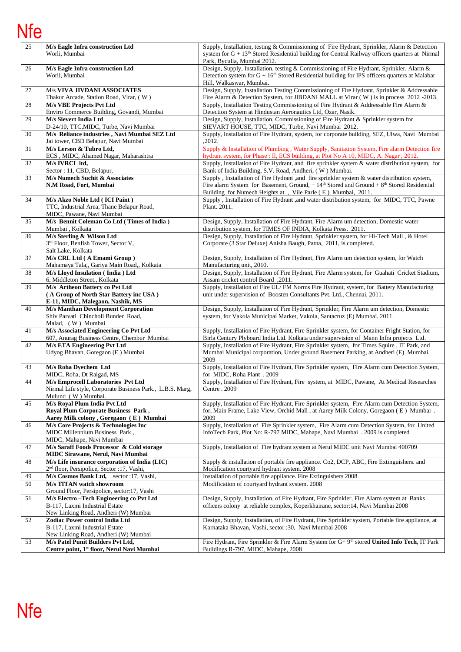## Nfe

| 25 | M/s Eagle Infra construction Ltd<br>Worli, Mumbai                                                       | Supply, Installation, testing & Commissioning of Fire Hydrant, Sprinkler, Alarm & Detection<br>system for $G + 13th$ Stored Residential building for Central Railway officers quarters at Nirmal                          |
|----|---------------------------------------------------------------------------------------------------------|---------------------------------------------------------------------------------------------------------------------------------------------------------------------------------------------------------------------------|
|    |                                                                                                         | Park, Byculla, Mumbai 2012.                                                                                                                                                                                               |
| 26 | M/s Eagle Infra construction Ltd<br>Worli, Mumbai                                                       | Design, Supply, Installation, testing & Commissioning of Fire Hydrant, Sprinkler, Alarm &<br>Detection system for $G + 16th$ Stored Residential building for IPS officers quarters at Malabar<br>Hill, Walkaswar, Mumbai. |
| 27 | M/s VIVA JIVDANI ASSOCIATES<br>Thakur Arcade, Station Road, Virar, (W)                                  | Design, Supply, Installation Testing Commissioning of Fire Hydrant, Sprinkler & Addressable<br>Fire Alarm & Detection System, for JIBDANI MALL at Virar (W) is in process 2012 -2013.                                     |
| 28 | M/s VBE Projects Pvt Ltd                                                                                | Supply, Installation Testing Commissioning of Fire Hydrant & Addressable Fire Alarm &                                                                                                                                     |
|    | Enviro Commerce Building, Govandi, Mumbai                                                               | Detection System at Hindustan Aeronautics Ltd, Ozar, Nasik.                                                                                                                                                               |
| 29 | <b>M/s Sievert India Ltd</b><br>D-24/10, TTC, MIDC, Turbe, Navi Mumbai                                  | Design, Supply, Installation, Commissioning of Fire Hydrant & Sprinkler system for<br>SIEVART HOUSE, TTC, MIDC, Turbe, Navi Mumbai 2012.                                                                                  |
| 30 | M/s Reliance industries, Navi Mumbai SEZ Ltd<br>Jai tower, CBD Belapur, Navi Mumbai                     | Supply, Installation of Fire Hydrant, system, for corporate building, SEZ, Ulwa, Navi Mumbai<br>,2012.                                                                                                                    |
| 31 | M/s Lerson & Tubro Ltd,<br>ECS, MIDC, Ahamed Nagar, Maharashtra                                         | Supply & Installation of Plumbing, Water Supply, Sanitation System, Fire alarm Detection fire<br>hydrant system, for Phase : II, ECS building, at Plot No A 10, MIDC, A. Nagar, 2012.                                     |
| 32 | M/s IVRCL ltd,<br>Sector: 11, CBD, Belapur,                                                             | Supply, Installation of Fire Hydrant, and fire sprinkler system & water distribution system, for<br>Bank of India Building, S.V. Road, Andheri, (W) Mumbai.                                                               |
| 33 | M/s Numech Suchit & Associates                                                                          | Supply, Installation of Fire Hydrant, and fire sprinkler system & water distribution system,                                                                                                                              |
|    | N.M Road, Fort, Mumbai                                                                                  | Fire alarm System for Basement, Ground, $+14th$ Stored and Ground $+8th$ Stored Residential<br>Building for Numech Heights at, Vile Parle (E) Mumbai, 2011.                                                               |
| 34 | M/s Akzo Noble Ltd (ICI Paint)<br>TTC, Industrial Area, Thane Belapur Road,                             | Supply, Installation of Fire Hydrant, and water distribution system, for MIDC, TTC, Pawne<br>Plant. 2011.                                                                                                                 |
|    | MIDC, Pawane, Navi Mumbai                                                                               |                                                                                                                                                                                                                           |
| 35 | M/s Bennit Coleman Co Ltd (Times of India)<br>Mumbai, Kolkata                                           | Design, Supply, Installation of Fire Hydrant, Fire Alarm um detection, Domestic water<br>distribution system, for TIMES OF INDIA, Kolkata Press. 2011.                                                                    |
| 36 | M/s Sterling & Wilson Ltd                                                                               | Design, Supply, Installation of Fire Hydrant, Sprinkler system, for Hi-Tech Mall, & Hotel                                                                                                                                 |
|    | 3rd Floor, Benfish Tower, Sector V,<br>Salt Lake, Kolkata                                               | Corporate (3 Star Deluxe) Anisha Baugh, Patna, 2011, is completed.                                                                                                                                                        |
| 37 | M/s CRL Ltd (A Emami Group)                                                                             | Design, Supply, Installation of Fire Hydrant, Fire Alarm um detection system, for Watch                                                                                                                                   |
|    | Mahamaya Tala,, Gariya Main Road,, Kolkata                                                              | Manufacturing unit, 2010.                                                                                                                                                                                                 |
| 38 | M/s Lloyd Insulation (India) Ltd                                                                        | Design, Supply, Installation of Fire Hydrant, Fire Alarm system, for Guahati Cricket Stadium,                                                                                                                             |
| 39 | 6, Middleton Street., Kolkata<br>M/s Artheon Battery co Pvt Ltd                                         | Assam cricket control Board, 2011.<br>Supply, Installation of Fire UL/FM Norms Fire Hydrant, system, for Battery Manufacturing                                                                                            |
|    | (A Group of North Star Battery inc USA)                                                                 | unit under supervision of Boosten Consultants Pvt. Ltd., Chennai, 2011.                                                                                                                                                   |
|    | E-11, MIDC, Malegaon, Nashik, MS                                                                        |                                                                                                                                                                                                                           |
| 40 | <b>M/s Manthan Development Corporation</b>                                                              | Design, Supply, Installation of Fire Hydrant, Sprinkler, Fire Alarm um detection, Domestic                                                                                                                                |
|    | Shiv Parvati Chincholi Bunder Road,                                                                     | system, for Vakola Municipal Market, Vakola, Santacruz (E) Mumbai. 2011.                                                                                                                                                  |
|    | Malad, (W) Mumbai                                                                                       |                                                                                                                                                                                                                           |
| 41 | M/s Associated Engineering Co Pvt Ltd<br>607, Anurag Business Centre, Chembur Mumbai                    | Supply, Installation of Fire Hydrant, Fire Sprinkler system, for Container Fright Station, for<br>Birla Century Plyboard India Ltd. Kolkata under supervision of Mann Infra projects Ltd.                                 |
| 42 | <b>M/s ETA Engineering Pvt Ltd</b>                                                                      | Supply, Installation of Fire Hydrant, Fire Sprinkler system, for Times Squire, IT Park, and                                                                                                                               |
|    | Udyog Bhavan, Goregaon (E) Mumbai                                                                       | Mumbai Municipal corporation, Under ground Basement Parking, at Andheri (E) Mumbai,<br>2009                                                                                                                               |
| 43 | M/s Roha Dyechem Ltd<br>MIDC, Roha, Dt Raigad, MS                                                       | Supply, Installation of Fire Hydrant, Fire Sprinkler system, Fire Alarm cum Detection System,<br>for MIDC, Roha Plant . 2009                                                                                              |
| 44 | M/s Emprocell Laboratories Pvt Ltd                                                                      | Supply, Installation of Fire Hydrant, Fire system, at MIDC, Pawane, At Medical Researches                                                                                                                                 |
|    | Nirmal Life style, Corporate Business Park., L.B.S. Marg,                                               | Centre . 2009                                                                                                                                                                                                             |
|    | Mulund (W) Mumbai.                                                                                      |                                                                                                                                                                                                                           |
| 45 | M/s Royal Plum India Pvt Ltd<br>Royal Plum Corporate Business Park,                                     | Supply, Installation of Fire Hydrant, Fire Sprinkler system, Fire Alarm cum Detection System,<br>for, Main Frame, Lake View, Orchid Mall, at Aarey Milk Colony, Goregaon (E) Mumbai.                                      |
|    | Aarey Milk colony, Goregaon (E) Mumbai                                                                  | 2009                                                                                                                                                                                                                      |
| 46 | M/s Core Projects & Technologies Inc                                                                    | Supply, Installation of Fire Sprinkler system, Fire Alarm cum Detection System, for United                                                                                                                                |
|    | MIDC Millennium Business Park,                                                                          | InfoTech Park, Plot No: R-797 MIDC, Mahape, Navi Mumbai . 2009 is completed                                                                                                                                               |
|    | MIDC, Mahape, Navi Mumbai                                                                               |                                                                                                                                                                                                                           |
| 47 | M/s Saraff Foods Processor & Cold storage                                                               | Supply, Installation of Fire hydrant system at Nerul MIDC unit Navi Mumbai 400709                                                                                                                                         |
|    | <b>MIDC Sirawane, Nerul, Navi Mumbai</b>                                                                |                                                                                                                                                                                                                           |
| 48 | M/s Life insurance corporation of India (LIC)<br>2 <sup>nd</sup> floor, Persipolice, Sector :17, Vashi, | Supply & installation of portable fire appliance. Co2, DCP, ABC, Fire Extinguishers. and<br>Modification courtyard hydrant system. 2008                                                                                   |
| 49 | M/s Cosmos Bank Ltd, sector :17, Vashi,                                                                 | Installation of portable fire appliance. Fire Extinguishers 2008                                                                                                                                                          |
| 50 | M/s TITAN watch showroom                                                                                | Modification of courtyard hydrant system. 2008                                                                                                                                                                            |
|    | Ground Floor, Persipolice, sector:17, Vashi                                                             |                                                                                                                                                                                                                           |
| 51 | M/s Electro-Tech Engineering co Pvt Ltd                                                                 | Design, Supply, Installation, of Fire Hydrant, Fire Sprinkler, Fire Alarm system at Banks                                                                                                                                 |
|    | B-117, Laxmi Industrial Estate                                                                          | officers colony at reliable complex, Koperkhairane, sector:14, Navi Mumbai 2008                                                                                                                                           |
| 52 | New Linking Road, Andheri (W) Mumbai<br>Zodiac Power control India Ltd                                  | Design, Supply, Installation, of Fire Hydrant, Fire Sprinkler system, Portable fire appliance, at                                                                                                                         |
|    | B-117, Laxmi Industrial Estate                                                                          | Karnataka Bhavan, Vashi, sector :30, Navi Mumbai 2008                                                                                                                                                                     |
|    | New Linking Road, Andheri (W) Mumbai                                                                    |                                                                                                                                                                                                                           |
| 53 | M/s Patel Punit Builders Pvt Ltd,                                                                       | Fire Hydrant, Fire Sprinkler & Fire Alarm System for G+ 9 <sup>th</sup> stored United Info Tech, IT Park                                                                                                                  |
|    | Centre point, 1 <sup>st</sup> floor, Nerul Navi Mumbai                                                  | Buildings R-797, MIDC, Mahape, 2008                                                                                                                                                                                       |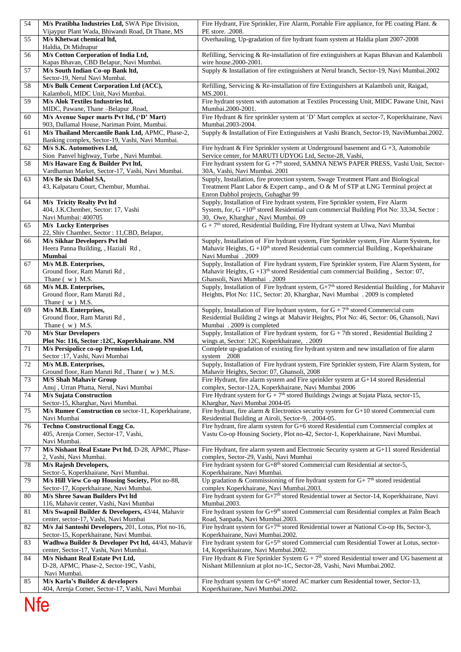| 54  | M/s Pratibha Industries Ltd, SWA Pipe Division,<br>Vijaypur Plant Wada, Bhiwandi Road, Dt Thane, MS | Fire Hydrant, Fire Sprinkler, Fire Alarm, Portable Fire appliance, for PE coating Plant. &<br>PE store. .2008.                                                                                                               |  |  |
|-----|-----------------------------------------------------------------------------------------------------|------------------------------------------------------------------------------------------------------------------------------------------------------------------------------------------------------------------------------|--|--|
| 55  | M/s Khetwat chemical ltd,<br>Haldia, Dt Midnapur                                                    | Overhauling, Up-gradation of fire hydrant foam system at Haldia plant 2007-2008                                                                                                                                              |  |  |
| 56  | M/s Cotton Corporation of India Ltd,<br>Kapas Bhavan, CBD Belapur, Navi Mumbai.                     | Refilling, Servicing & Re-installation of fire extinguishers at Kapas Bhavan and Kalamboli<br>wire house.2000-2001.                                                                                                          |  |  |
| 57  | M/s South Indian Co-op Bank ltd,<br>Sector-19, Nerul Navi Mumbai.                                   | Supply & Installation of fire extinguishers at Nerul branch, Sector-19, Navi Mumbai.2002                                                                                                                                     |  |  |
| 58  | M/s Bulk Cement Corporation Ltd (ACC),<br>Kalamboli, MIDC Unit, Navi Mumbai.                        | Refilling, Servicing & Re-installation of fire Extinguishers at Kalamboli unit, Raigad,<br>MS.2001.                                                                                                                          |  |  |
| 59  | M/s Alok Textiles Industries ltd,<br>MIDC, Pawane, Thane-Belapur .Road,                             | Fire hydrant system with automation at Textiles Processing Unit, MIDC Pawane Unit, Navi<br>Mumbai.2000-2001.                                                                                                                 |  |  |
| 60  | M/s Avenue Super marts Pvt ltd, ('D' Mart)<br>903, Dallamal House, Nariman Point, Mumbai.           | Fire Hydrant & fire sprinkler system at 'D' Mart complex at sector-7, Koperkhairane, Navi<br>Mumbai.2003-2004.                                                                                                               |  |  |
| 61  | M/s Thailand Mercantile Bank Ltd, APMC, Phase-2,<br>Banking complex, Sector-19, Vashi, Navi Mumbai. | Supply & Installation of Fire Extinguishers at Vashi Branch, Sector-19, NaviMumbai.2002.                                                                                                                                     |  |  |
| 62  | M/s S.K. Automotives Ltd,<br>Sion Panvel highway, Turbe, Navi Mumbai.                               | Fire hydrant & Fire Sprinkler system at Underground basement and $G + 3$ , Automobile<br>Service center, for MARUTI UDYOG Ltd, Sector-28, Vashi,                                                                             |  |  |
| 58  | M/s Haware Eng & Builder Pvt ltd,<br>Vardhaman Market, Sector-17, Vashi, Navi Mumbai.               | Fire hydrant system for $G + 7th$ stored, SAMNA NEWS PAPER PRESS, Vashi Unit, Sector-<br>30A, Vashi, Navi Mumbai. 2001                                                                                                       |  |  |
| 63  | M/s Be six Dabhol SA,<br>43, Kalpataru Court, Chembur, Mumbai.                                      | Supply, Installation, fire protection system, Swage Treatment Plant and Biological<br>Treatment Plant Labor & Expert camp., and O & M of STP at LNG Terminal project at<br>Enron Dabhol projects, Guhaghar 99                |  |  |
| 64  | M/s Tricity Realty Pvt ltd<br>404, J.K.Chember, Sector: 17, Vashi<br>Navi Mumbai: 400705            | Supply, Installation of Fire hydrant system, Fire Sprinkler system, Fire Alarm<br>System, for, G +10 <sup>th</sup> stored Residential cum commercial Building Plot No: 33,34, Sector :<br>30, Owe, Kharghar, Navi Mumbai. 09 |  |  |
| 65  | <b>M/s Lucky Enterprises</b><br>22, Shiv Chamber, Sector : 11, CBD, Belapur,                        | $G + 7th$ stored, Residential Building, Fire Hydrant system at Ulwa, Navi Mumbai                                                                                                                                             |  |  |
| 66  | <b>M/s Sikhar Developers Pvt ltd</b><br>Heera Panna Building, , Haziali Rd,<br>Mumbai               | Supply, Installation of Fire hydrant system, Fire Sprinkler system, Fire Alarm System, for<br>Mahavir Heights, $G + 10th$ stored Residential cum commercial Building, Koperkhairane<br>Navi Mumbai . 2009                    |  |  |
| 67  | M/s M.B. Enterprises,<br>Ground floor, Ram Maruti Rd,<br>Thane (w) M.S.                             | Supply, Installation of Fire hydrant system, Fire Sprinkler system, Fire Alarm System, for<br>Mahavir Heights, G +13 <sup>th</sup> stored Residential cum commercial Building, Sector: 07,<br>Ghansoli, Navi Mumbai . 2009   |  |  |
| 68  | M/s M.B. Enterprises,<br>Ground floor, Ram Maruti Rd,<br>Thane (w) M.S.                             | Supply, Installation of Fire hydrant system, $G+7th$ stored Residential Building, for Mahavir<br>Heights, Plot No: 11C, Sector: 20, Kharghar, Navi Mumbai . 2009 is completed                                                |  |  |
| 69  | M/s M.B. Enterprises,<br>Ground floor, Ram Maruti Rd,<br>Thane (w) M.S.                             | Supply, Installation of Fire hydrant system, for $G + 7th$ stored Commercial cum<br>Residential Building 2 wings at Mahavir Heights, Plot No: 46, Sector: 06, Ghansoli, Navi<br>Mumbai . 2009 is completed                   |  |  |
| 70  | <b>M/s Star Developers</b><br>Plot No: 116, Sector : 12C, Koperkhairane. NM                         | Supply, Installation of Fire hydrant system, for $G + 7$ th stored, Residential Building 2<br>wings at, Sector: 12C, Koperkhairane, . 2009                                                                                   |  |  |
| 71  | M/s Persipolice co-op Premises Ltd,<br>Sector : 17, Vashi, Navi Mumbai                              | Complete up-gradation of existing fire hydrant system and new installation of fire alarm<br>system 2008                                                                                                                      |  |  |
| 72  | M/s M.B. Enterprises,<br>Ground floor, Ram Maruti Rd, Thane (w) M.S.                                | Supply, Installation of Fire hydrant system, Fire Sprinkler system, Fire Alarm System, for<br>Mahavir Heights, Sector: 07, Ghansoli, 2008                                                                                    |  |  |
| 73  | <b>M/S Shah Mahavir Group</b><br>Anuj, Urran Phatta, Nerul, Navi Mumbai                             | Fire Hydrant, fire alarm system and Fire sprinkler system at G+14 stored Residential<br>complex, Sector-12A, Koperkhairane, Navi Mumbai 2006                                                                                 |  |  |
| 74  | M/s Sujata Construction<br>Sector-15, Kharghar, Navi Mumbai.                                        | Fire Hydrant system for $G + 7th$ stored Buildings 2wings at Sujata Plaza, sector-15,<br>Kharghar, Navi Mumbai 2004-05                                                                                                       |  |  |
| 75  | M/s Rumee Construction co sector-11, Koperkhairane,<br>Navi Mumbai                                  | Fire hydrant, fire alarm & Electronics security system for G+10 stored Commercial cum<br>Residential Building at Airoli, Sector-9, . 2004-05.                                                                                |  |  |
| 76  | <b>Techno Constructional Engg Co.</b><br>405, Arenja Corner, Sector-17, Vashi,<br>Navi Mumbai.      | Fire hydrant, fire alarm system for G+6 stored Residential cum Commercial complex at<br>Vastu Co-op Housing Society, Plot no-42, Sector-1, Koperkhairane, Navi Mumbai.                                                       |  |  |
| 77  | M/s Nishant Real Estate Pvt ltd, D-28, APMC, Phase-<br>2, Vashi, Navi Mumbai.                       | Fire Hydrant, fire alarm system and Electronic Security system at G+11 stored Residential<br>complex, Sector-29, Vashi, Navi Mumbai                                                                                          |  |  |
| 78  | M/s Rajesh Developers,<br>Sector-5, Koperkhairane, Navi Mumbai.                                     | Fire hydrant system for $G+8th$ stored Commercial cum Residential at sector-5,<br>Koperkhairane, Navi Mumbai.                                                                                                                |  |  |
| 79  | M/s Hill View Co-op Housing Society, Plot no-88,<br>Sector-17, Koperkhairane, Navi Mumbai.          | Up gradation & Commissioning of fire hydrant system for $G+7th$ stored residential<br>complex Koperkhairane, Navi Mumbai.2003.                                                                                               |  |  |
| 80  | M/s Shree Sawan Builders Pvt ltd<br>116, Mahavir center, Vashi, Navi Mumbai                         | Fire hydrant system for G+7 <sup>th</sup> stored Residential tower at Sector-14, Koperkhairane, Navi<br>Mumbai.2003.                                                                                                         |  |  |
| 81  | M/s Swapnil Builder & Developers, 43/44, Mahavir<br>center, sector-17, Vashi, Navi Mumbai           | Fire hydrant system for G+9 <sup>th</sup> stored Commercial cum Residential complex at Palm Beach<br>Road, Sanpada, Navi Mumbai.2003.                                                                                        |  |  |
| 82  | M/s Jai Santoshi Developers, 201, Lotus, Plot no-16,<br>Sector-15, Koperkhairane, Navi Mumbai.      | Fire hydrant system for $G+7th$ stored Residential tower at National Co-op Hs, Sector-3,<br>Koperkhairane, Navi Mumbai.2002.                                                                                                 |  |  |
| 83  | Wadhwa Builder & Developer Pvt ltd, 44/43, Mahavir<br>center, Sector-17, Vashi, Navi Mumbai.        | Fire hydrant system for G+5 <sup>th</sup> stored Commercial cum Residential Tower at Lotus, sector-<br>14, Koperkhairane, Navi Mumbai.2002.                                                                                  |  |  |
| 84  | M/s Nishant Real Estate Pvt Ltd,<br>D-28, APMC, Phase-2, Sector-19C, Vashi,<br>Navi Mumbai.         | Fire Hydrant & Fire Sprinkler System $G + 7th$ stored Residential tower and UG basement at<br>Nishant Millennium at plot no-1C, Sector-28, Vashi, Navi Mumbai.2002.                                                          |  |  |
| 85  | M/s Karla's Builder & developers<br>404, Arenja Corner, Sector-17, Vashi, Navi Mumbai               | Fire hydrant system for G+6 <sup>th</sup> stored AC marker cum Residential tower, Sector-13,<br>Koperkhairane, Navi Mumbai.2002.                                                                                             |  |  |
| Nfe |                                                                                                     |                                                                                                                                                                                                                              |  |  |